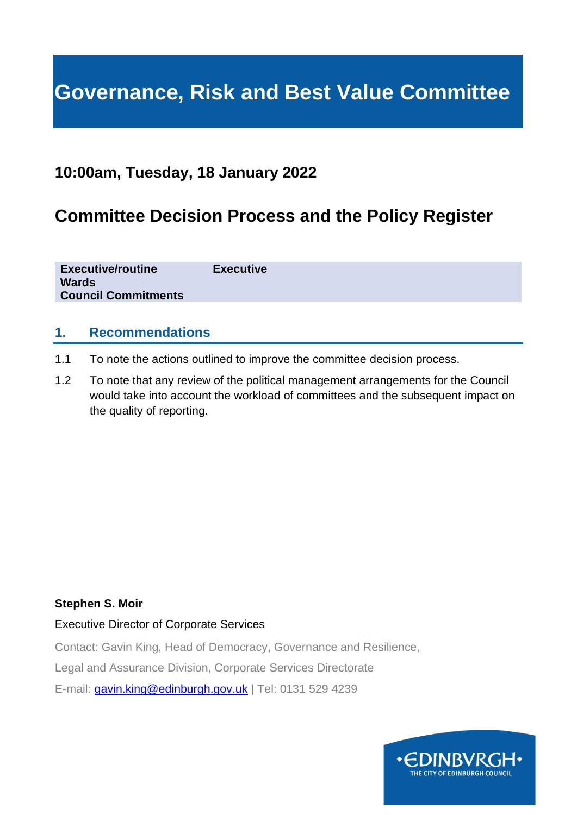# **Governance, Risk and Best Value Committee**

# **10:00am, Tuesday, 18 January 2022**

# **Committee Decision Process and the Policy Register**

**Executive/routine Executive Wards Council Commitments**

# **1. Recommendations**

- 1.1 To note the actions outlined to improve the committee decision process.
- 1.2 To note that any review of the political management arrangements for the Council would take into account the workload of committees and the subsequent impact on the quality of reporting.

#### **Stephen S. Moir**

#### Executive Director of Corporate Services

Contact: Gavin King, Head of Democracy, Governance and Resilience,

Legal and Assurance Division, Corporate Services Directorate

E-mail: [gavin.king@edinburgh.gov.uk](mailto:gavin.king@edinburgh.gov.uk) | Tel: 0131 529 4239

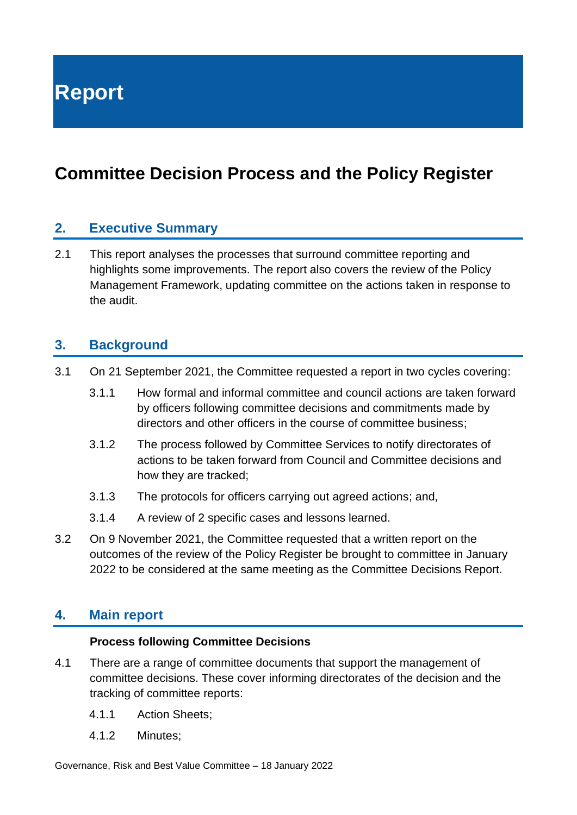**Report**

# **Committee Decision Process and the Policy Register**

# **2. Executive Summary**

2.1 This report analyses the processes that surround committee reporting and highlights some improvements. The report also covers the review of the Policy Management Framework, updating committee on the actions taken in response to the audit.

### **3. Background**

- 3.1 On 21 September 2021, the Committee requested a report in two cycles covering:
	- 3.1.1 How formal and informal committee and council actions are taken forward by officers following committee decisions and commitments made by directors and other officers in the course of committee business;
	- 3.1.2 The process followed by Committee Services to notify directorates of actions to be taken forward from Council and Committee decisions and how they are tracked;
	- 3.1.3 The protocols for officers carrying out agreed actions; and,
	- 3.1.4 A review of 2 specific cases and lessons learned.
- 3.2 On 9 November 2021, the Committee requested that a written report on the outcomes of the review of the Policy Register be brought to committee in January 2022 to be considered at the same meeting as the Committee Decisions Report.

# **4. Main report**

#### **Process following Committee Decisions**

- 4.1 There are a range of committee documents that support the management of committee decisions. These cover informing directorates of the decision and the tracking of committee reports:
	- 4.1.1 Action Sheets;
	- 4.1.2 Minutes;

Governance, Risk and Best Value Committee – 18 January 2022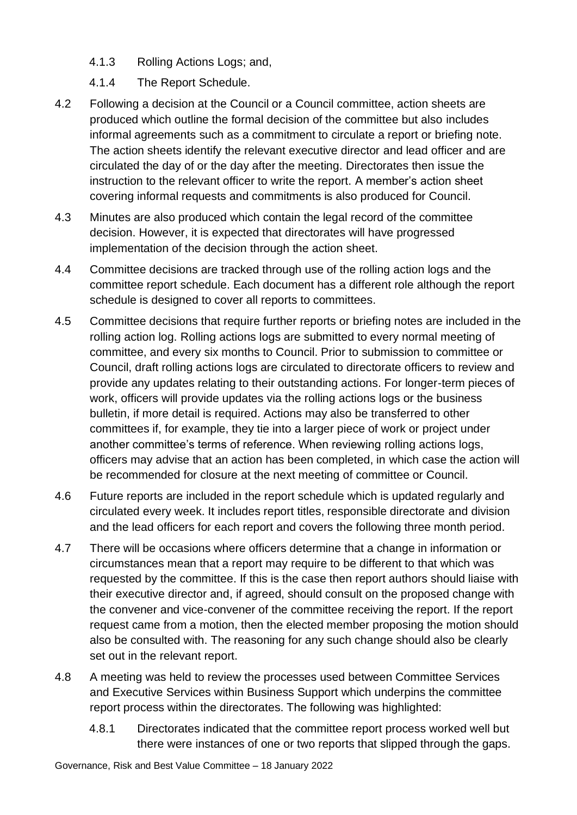- 4.1.3 Rolling Actions Logs; and,
- 4.1.4 The Report Schedule.
- 4.2 Following a decision at the Council or a Council committee, action sheets are produced which outline the formal decision of the committee but also includes informal agreements such as a commitment to circulate a report or briefing note. The action sheets identify the relevant executive director and lead officer and are circulated the day of or the day after the meeting. Directorates then issue the instruction to the relevant officer to write the report. A member's action sheet covering informal requests and commitments is also produced for Council.
- 4.3 Minutes are also produced which contain the legal record of the committee decision. However, it is expected that directorates will have progressed implementation of the decision through the action sheet.
- 4.4 Committee decisions are tracked through use of the rolling action logs and the committee report schedule. Each document has a different role although the report schedule is designed to cover all reports to committees.
- 4.5 Committee decisions that require further reports or briefing notes are included in the rolling action log. Rolling actions logs are submitted to every normal meeting of committee, and every six months to Council. Prior to submission to committee or Council, draft rolling actions logs are circulated to directorate officers to review and provide any updates relating to their outstanding actions. For longer-term pieces of work, officers will provide updates via the rolling actions logs or the business bulletin, if more detail is required. Actions may also be transferred to other committees if, for example, they tie into a larger piece of work or project under another committee's terms of reference. When reviewing rolling actions logs, officers may advise that an action has been completed, in which case the action will be recommended for closure at the next meeting of committee or Council.
- 4.6 Future reports are included in the report schedule which is updated regularly and circulated every week. It includes report titles, responsible directorate and division and the lead officers for each report and covers the following three month period.
- 4.7 There will be occasions where officers determine that a change in information or circumstances mean that a report may require to be different to that which was requested by the committee. If this is the case then report authors should liaise with their executive director and, if agreed, should consult on the proposed change with the convener and vice-convener of the committee receiving the report. If the report request came from a motion, then the elected member proposing the motion should also be consulted with. The reasoning for any such change should also be clearly set out in the relevant report.
- 4.8 A meeting was held to review the processes used between Committee Services and Executive Services within Business Support which underpins the committee report process within the directorates. The following was highlighted:
	- 4.8.1 Directorates indicated that the committee report process worked well but there were instances of one or two reports that slipped through the gaps.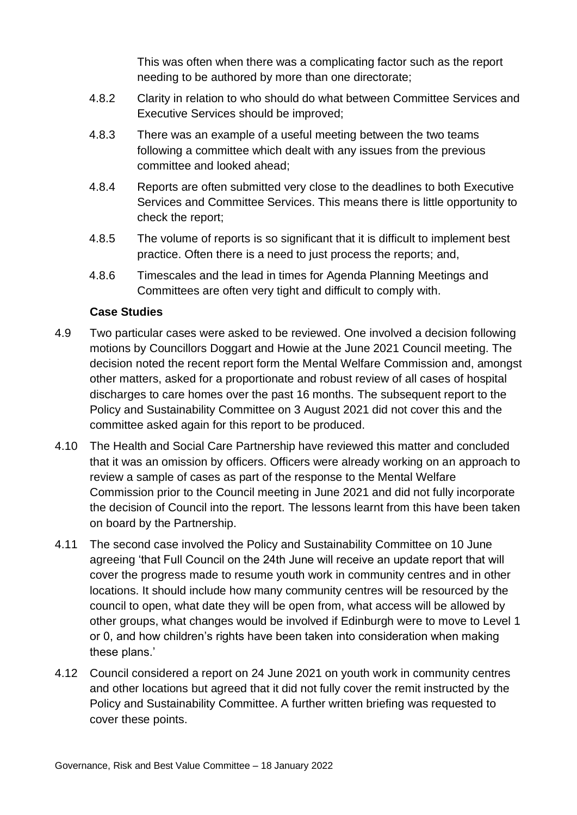This was often when there was a complicating factor such as the report needing to be authored by more than one directorate;

- 4.8.2 Clarity in relation to who should do what between Committee Services and Executive Services should be improved;
- 4.8.3 There was an example of a useful meeting between the two teams following a committee which dealt with any issues from the previous committee and looked ahead;
- 4.8.4 Reports are often submitted very close to the deadlines to both Executive Services and Committee Services. This means there is little opportunity to check the report;
- 4.8.5 The volume of reports is so significant that it is difficult to implement best practice. Often there is a need to just process the reports; and,
- 4.8.6 Timescales and the lead in times for Agenda Planning Meetings and Committees are often very tight and difficult to comply with.

#### **Case Studies**

- 4.9 Two particular cases were asked to be reviewed. One involved a decision following motions by Councillors Doggart and Howie at the June 2021 Council meeting. The decision noted the recent report form the Mental Welfare Commission and, amongst other matters, asked for a proportionate and robust review of all cases of hospital discharges to care homes over the past 16 months. The subsequent report to the Policy and Sustainability Committee on 3 August 2021 did not cover this and the committee asked again for this report to be produced.
- 4.10 The Health and Social Care Partnership have reviewed this matter and concluded that it was an omission by officers. Officers were already working on an approach to review a sample of cases as part of the response to the Mental Welfare Commission prior to the Council meeting in June 2021 and did not fully incorporate the decision of Council into the report. The lessons learnt from this have been taken on board by the Partnership.
- 4.11 The second case involved the Policy and Sustainability Committee on 10 June agreeing 'that Full Council on the 24th June will receive an update report that will cover the progress made to resume youth work in community centres and in other locations. It should include how many community centres will be resourced by the council to open, what date they will be open from, what access will be allowed by other groups, what changes would be involved if Edinburgh were to move to Level 1 or 0, and how children's rights have been taken into consideration when making these plans.'
- 4.12 Council considered a report on 24 June 2021 on youth work in community centres and other locations but agreed that it did not fully cover the remit instructed by the Policy and Sustainability Committee. A further written briefing was requested to cover these points.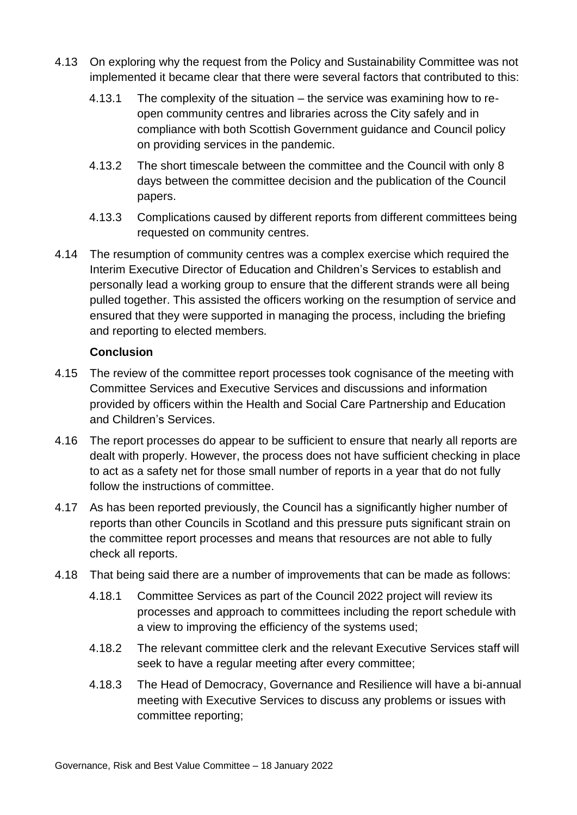- 4.13 On exploring why the request from the Policy and Sustainability Committee was not implemented it became clear that there were several factors that contributed to this:
	- 4.13.1 The complexity of the situation the service was examining how to reopen community centres and libraries across the City safely and in compliance with both Scottish Government guidance and Council policy on providing services in the pandemic.
	- 4.13.2 The short timescale between the committee and the Council with only 8 days between the committee decision and the publication of the Council papers.
	- 4.13.3 Complications caused by different reports from different committees being requested on community centres.
- 4.14 The resumption of community centres was a complex exercise which required the Interim Executive Director of Education and Children's Services to establish and personally lead a working group to ensure that the different strands were all being pulled together. This assisted the officers working on the resumption of service and ensured that they were supported in managing the process, including the briefing and reporting to elected members.

#### **Conclusion**

- 4.15 The review of the committee report processes took cognisance of the meeting with Committee Services and Executive Services and discussions and information provided by officers within the Health and Social Care Partnership and Education and Children's Services.
- 4.16 The report processes do appear to be sufficient to ensure that nearly all reports are dealt with properly. However, the process does not have sufficient checking in place to act as a safety net for those small number of reports in a year that do not fully follow the instructions of committee.
- 4.17 As has been reported previously, the Council has a significantly higher number of reports than other Councils in Scotland and this pressure puts significant strain on the committee report processes and means that resources are not able to fully check all reports.
- 4.18 That being said there are a number of improvements that can be made as follows:
	- 4.18.1 Committee Services as part of the Council 2022 project will review its processes and approach to committees including the report schedule with a view to improving the efficiency of the systems used;
	- 4.18.2 The relevant committee clerk and the relevant Executive Services staff will seek to have a regular meeting after every committee;
	- 4.18.3 The Head of Democracy, Governance and Resilience will have a bi-annual meeting with Executive Services to discuss any problems or issues with committee reporting;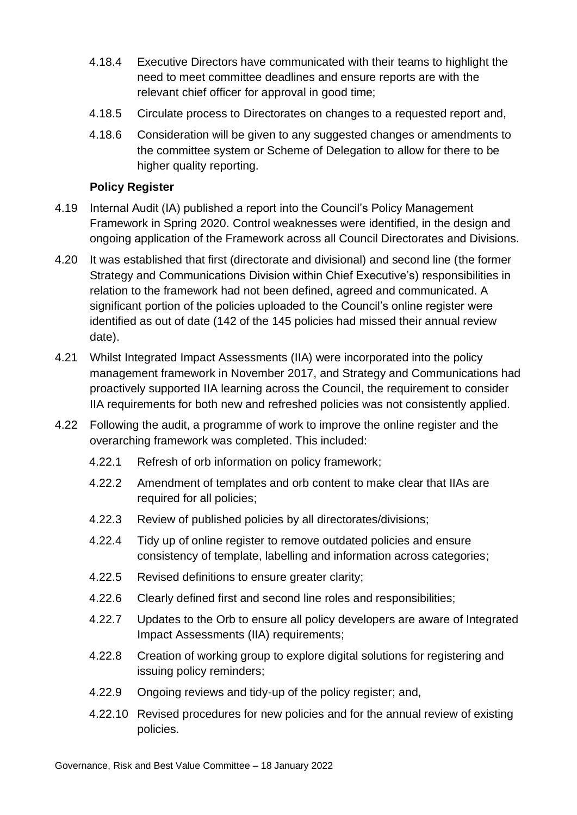- 4.18.4 Executive Directors have communicated with their teams to highlight the need to meet committee deadlines and ensure reports are with the relevant chief officer for approval in good time;
- 4.18.5 Circulate process to Directorates on changes to a requested report and,
- 4.18.6 Consideration will be given to any suggested changes or amendments to the committee system or Scheme of Delegation to allow for there to be higher quality reporting.

#### **Policy Register**

- 4.19 Internal Audit (IA) published a report into the Council's Policy Management Framework in Spring 2020. Control weaknesses were identified, in the design and ongoing application of the Framework across all Council Directorates and Divisions.
- 4.20 It was established that first (directorate and divisional) and second line (the former Strategy and Communications Division within Chief Executive's) responsibilities in relation to the framework had not been defined, agreed and communicated. A significant portion of the policies uploaded to the Council's online register were identified as out of date (142 of the 145 policies had missed their annual review date).
- 4.21 Whilst Integrated Impact Assessments (IIA) were incorporated into the policy management framework in November 2017, and Strategy and Communications had proactively supported IIA learning across the Council, the requirement to consider IIA requirements for both new and refreshed policies was not consistently applied.
- 4.22 Following the audit, a programme of work to improve the online register and the overarching framework was completed. This included:
	- 4.22.1 Refresh of orb information on policy framework;
	- 4.22.2 Amendment of templates and orb content to make clear that IIAs are required for all policies;
	- 4.22.3 Review of published policies by all directorates/divisions;
	- 4.22.4 Tidy up of online register to remove outdated policies and ensure consistency of template, labelling and information across categories;
	- 4.22.5 Revised definitions to ensure greater clarity;
	- 4.22.6 Clearly defined first and second line roles and responsibilities;
	- 4.22.7 Updates to the Orb to ensure all policy developers are aware of Integrated Impact Assessments (IIA) requirements;
	- 4.22.8 Creation of working group to explore digital solutions for registering and issuing policy reminders;
	- 4.22.9 Ongoing reviews and tidy-up of the policy register; and,
	- 4.22.10 Revised procedures for new policies and for the annual review of existing policies.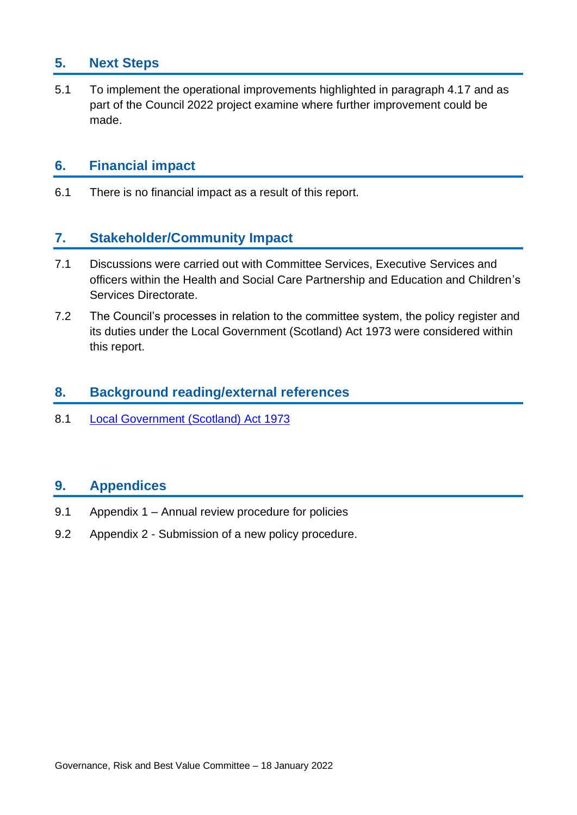# **5. Next Steps**

5.1 To implement the operational improvements highlighted in paragraph 4.17 and as part of the Council 2022 project examine where further improvement could be made.

# **6. Financial impact**

6.1 There is no financial impact as a result of this report.

# **7. Stakeholder/Community Impact**

- 7.1 Discussions were carried out with Committee Services, Executive Services and officers within the Health and Social Care Partnership and Education and Children's Services Directorate.
- 7.2 The Council's processes in relation to the committee system, the policy register and its duties under the Local Government (Scotland) Act 1973 were considered within this report.

### **8. Background reading/external references**

8.1 [Local Government \(Scotland\) Act 1973](https://www.legislation.gov.uk/ukpga/1973/65/contents)

# **9. Appendices**

- 9.1 Appendix 1 Annual review procedure for policies
- 9.2 Appendix 2 Submission of a new policy procedure.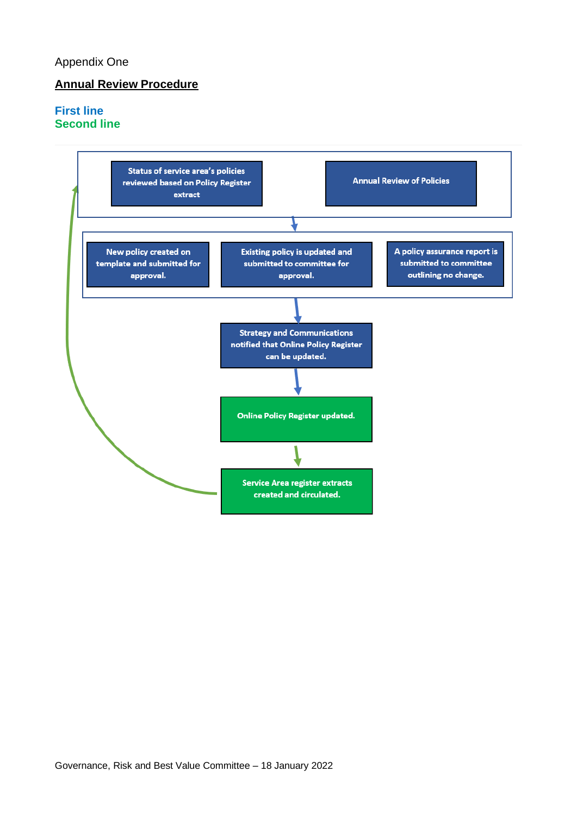#### Appendix One

#### **Annual Review Procedure**

#### **First line Second line**